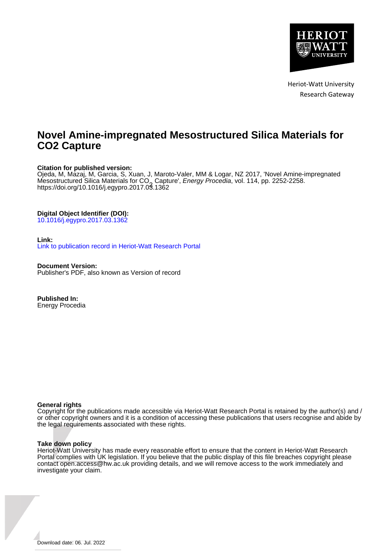

Heriot-Watt University Research Gateway

# **Novel Amine-impregnated Mesostructured Silica Materials for CO2 Capture**

# **Citation for published version:**

Ojeda, M, Mazaj, M, Garcia, S, Xuan, J, Maroto-Valer, MM & Logar, NZ 2017, 'Novel Amine-impregnated Mesostructured Silica Materials for CO<sub>2</sub> Capture', *Energy Procedia*, vol. 114, pp. 2252-2258.<br>https://doi.org/10.1016/j.egypro.2017.03.1362 <https://doi.org/10.1016/j.egypro.2017.03.1362>

# **Digital Object Identifier (DOI):**

[10.1016/j.egypro.2017.03.1362](https://doi.org/10.1016/j.egypro.2017.03.1362)

# **Link:**

[Link to publication record in Heriot-Watt Research Portal](https://researchportal.hw.ac.uk/en/publications/fa863cba-29ce-48d5-a947-4d5a708b66c6)

**Document Version:** Publisher's PDF, also known as Version of record

**Published In:** Energy Procedia

## **General rights**

Copyright for the publications made accessible via Heriot-Watt Research Portal is retained by the author(s) and / or other copyright owners and it is a condition of accessing these publications that users recognise and abide by the legal requirements associated with these rights.

## **Take down policy**

Heriot-Watt University has made every reasonable effort to ensure that the content in Heriot-Watt Research Portal complies with UK legislation. If you believe that the public display of this file breaches copyright please contact open.access@hw.ac.uk providing details, and we will remove access to the work immediately and investigate your claim.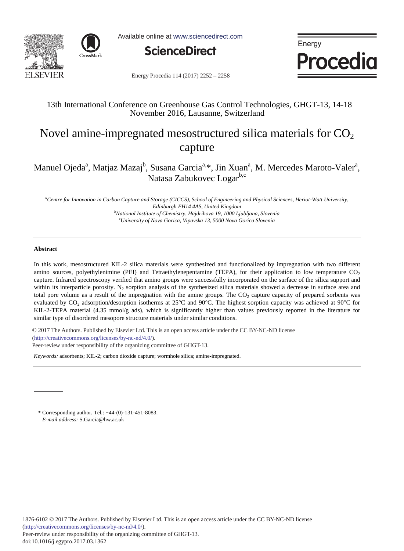



Available online at www.sciencedirect.com



Energy **Procedia** 

Energy Procedia 114 (2017) 2252 - 2258

# 13th International Conference on Greenhouse Gas Control Technologies, GHGT-13, 14-18 November 2016, Lausanne, Switzerland

# Novel amine-impregnated mesostructured silica materials for  $CO<sub>2</sub>$ capture

Manuel Ojeda<sup>a</sup>, Matjaz Mazaj<sup>b</sup>, Susana Garcia<sup>a, \*</sup>, Jin Xuan<sup>a</sup>, M. Mercedes Maroto-Valer<sup>a</sup>, Natasa Zabukovec Logar<sup>b,c</sup>

*a Centre for Innovation in Carbon Capture and Storage (CICCS), School of Engineering and Physical Sciences, Heriot-Watt University, Edinburgh EH14 4AS, United Kingdom b National Institute of Chemistry, Hajdrihova 19, 1000 Ljubljana, Slovenia c University of Nova Gorica, Vipavska 13, 5000 Nova Gorica Slovenia* 

### **Abstract**

In this work, mesostructured KIL-2 silica materials were synthesized and functionalized by impregnation with two different amino sources, polyethylenimine (PEI) and Tetraethylenepentamine (TEPA), for their application to low temperature  $CO<sub>2</sub>$ capture. Infrared spectroscopy verified that amino groups were successfully incorporated on the surface of the silica support and within its interparticle porosity.  $N_2$  sorption analysis of the synthesized silica materials showed a decrease in surface area and total pore volume as a result of the impregnation with the amine groups. The  $CO<sub>2</sub>$  capture capacity of prepared sorbents was evaluated by  $CO_2$  adsorption/desorption isotherms at 25°C and 90°C. The highest sorption capacity was achieved at 90°C for KIL-2-TEPA material (4.35 mmol/g ads), which is significantly higher than values previously reported in the literature for similar type of disordered mesopore structure materials under similar conditions.

L © 2017 The Authors. Published by Elsevier Ltd. © 2017 The Authors. Published by Elsevier Ltd. This is an open access article under the CC BY-NC-ND license Peer-review under responsibility of the organizing committee of GHGT-13. Peer-review under responsibility of the organizing committee of GHGT-13.(http://creativecommons.org/licenses/by-nc-nd/4.0/).

*Keywords:* adsorbents; KIL-2; carbon dioxide capture; wormhole silica; amine-impregnated.

\* Corresponding author. Tel.: +44-(0)-131-451-8083. *E-mail address:* S.Garcia@hw.ac.uk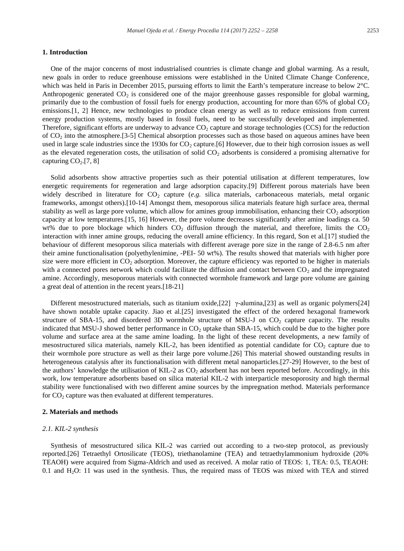## **1. Introduction**

One of the major concerns of most industrialised countries is climate change and global warming. As a result, new goals in order to reduce greenhouse emissions were established in the United Climate Change Conference, which was held in Paris in December 2015, pursuing efforts to limit the Earth's temperature increase to below 2°C. Anthropogenic generated  $CO<sub>2</sub>$  is considered one of the major greenhouse gasses responsible for global warming, primarily due to the combustion of fossil fuels for energy production, accounting for more than 65% of global  $CO<sub>2</sub>$ emissions.[1, 2] Hence, new technologies to produce clean energy as well as to reduce emissions from current energy production systems, mostly based in fossil fuels, need to be successfully developed and implemented. Therefore, significant efforts are underway to advance  $CO<sub>2</sub>$  capture and storage technologies (CCS) for the reduction of CO2 into the atmosphere.[3-5] Chemical absorption processes such as those based on aqueous amines have been used in large scale industries since the 1930s for  $CO<sub>2</sub>$  capture.[6] However, due to their high corrosion issues as well as the elevated regeneration costs, the utilisation of solid  $CO<sub>2</sub>$  adsorbents is considered a promising alternative for capturing  $CO<sub>2</sub>$ .[7, 8]

Solid adsorbents show attractive properties such as their potential utilisation at different temperatures, low energetic requirements for regeneration and large adsorption capacity.[9] Different porous materials have been widely described in literature for  $CO<sub>2</sub>$  capture (*e.g.* silica materials, carbonaceous materials, metal organic frameworks, amongst others).[10-14] Amongst them, mesoporous silica materials feature high surface area, thermal stability as well as large pore volume, which allow for amines group immobilisation, enhancing their  $CO<sub>2</sub>$  adsorption capacity at low temperatures.[15, 16] However, the pore volume decreases significantly after amine loadings ca. 50 wt% due to pore blockage which hinders  $CO<sub>2</sub>$  diffusion through the material, and therefore, limits the  $CO<sub>2</sub>$ interaction with inner amine groups, reducing the overall amine efficiency. In this regard, Son et al.[17] studied the behaviour of different mesoporous silica materials with different average pore size in the range of 2.8-6.5 nm after their amine functionalisation (polyethylenimine, -PEI- 50 wt%). The results showed that materials with higher pore size were more efficient in  $CO<sub>2</sub>$  adsorption. Moreover, the capture efficiency was reported to be higher in materials with a connected pores network which could facilitate the diffusion and contact between  $CO<sub>2</sub>$  and the impregnated amine. Accordingly, mesoporous materials with connected wormhole framework and large pore volume are gaining a great deal of attention in the recent years.[18-21]

Different mesostructured materials, such as titanium oxide,[22] γ-alumina,[23] as well as organic polymers[24] have shown notable uptake capacity. Jiao et al.[25] investigated the effect of the ordered hexagonal framework structure of SBA-15, and disordered 3D wormhole structure of MSU-J on  $CO<sub>2</sub>$  capture capacity. The results indicated that MSU-J showed better performance in  $CO<sub>2</sub>$  uptake than SBA-15, which could be due to the higher pore volume and surface area at the same amine loading. In the light of these recent developments, a new family of mesostructured silica materials, namely KIL-2, has been identified as potential candidate for  $CO<sub>2</sub>$  capture due to their wormhole pore structure as well as their large pore volume.[26] This material showed outstanding results in heterogeneous catalysis after its functionalisation with different metal nanoparticles.[27-29] However, to the best of the authors' knowledge the utilisation of KIL-2 as  $CO<sub>2</sub>$  adsorbent has not been reported before. Accordingly, in this work, low temperature adsorbents based on silica material KIL-2 with interparticle mesoporosity and high thermal stability were functionalised with two different amine sources by the impregnation method. Materials performance for  $CO<sub>2</sub>$  capture was then evaluated at different temperatures.

### **2. Materials and methods**

#### *2.1. KIL-2 synthesis*

Synthesis of mesostructured silica KIL-2 was carried out according to a two-step protocol, as previously reported.[26] Tetraethyl Ortosilicate (TEOS), triethanolamine (TEA) and tetraethylammonium hydroxide (20% TEAOH) were acquired from Sigma-Aldrich and used as received. A molar ratio of TEOS: 1, TEA: 0.5, TEAOH: 0.1 and H2O: 11 was used in the synthesis. Thus, the required mass of TEOS was mixed with TEA and stirred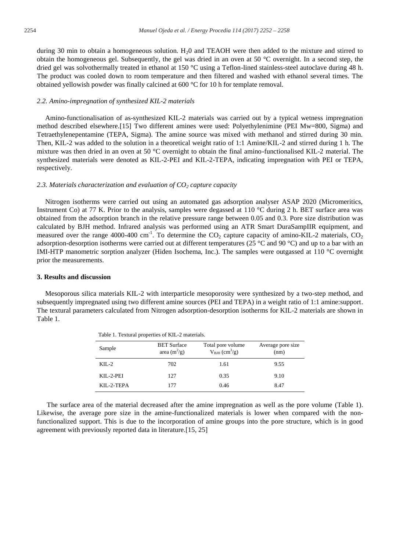during 30 min to obtain a homogeneous solution.  $H<sub>2</sub>0$  and TEAOH were then added to the mixture and stirred to obtain the homogeneous gel. Subsequently, the gel was dried in an oven at 50 °C overnight. In a second step, the dried gel was solvothermally treated in ethanol at 150 °C using a Teflon-lined stainless-steel autoclave during 48 h. The product was cooled down to room temperature and then filtered and washed with ethanol several times. The obtained yellowish powder was finally calcined at 600 °C for 10 h for template removal.

#### *2.2. Amino-impregnation of synthesized KIL-2 materials*

Amino-functionalisation of as-synthesized KIL-2 materials was carried out by a typical wetness impregnation method described elsewhere.[15] Two different amines were used: Polyethylenimine (PEI Mw=800, Sigma) and Tetraethylenepentamine (TEPA, Sigma). The amine source was mixed with methanol and stirred during 30 min. Then, KIL-2 was added to the solution in a theoretical weight ratio of 1:1 Amine/KIL-2 and stirred during 1 h. The mixture was then dried in an oven at 50 °C overnight to obtain the final amino-functionalised KIL-2 material. The synthesized materials were denoted as KIL-2-PEI and KIL-2-TEPA, indicating impregnation with PEI or TEPA, respectively.

#### 2.3. Materials characterization and evaluation of  $CO<sub>2</sub>$  capture capacity

Nitrogen isotherms were carried out using an automated gas adsorption analyser ASAP 2020 (Micromeritics, Instrument Co) at 77 K. Prior to the analysis, samples were degassed at 110 °C during 2 h. BET surface area was obtained from the adsorption branch in the relative pressure range between 0.05 and 0.3. Pore size distribution was calculated by BJH method. Infrared analysis was performed using an ATR Smart DuraSampIIR equipment, and measured over the range 4000-400 cm<sup>-1</sup>. To determine the  $CO_2$  capture capacity of amino-KIL-2 materials,  $CO_2$ adsorption-desorption isotherms were carried out at different temperatures (25 °C and 90 °C) and up to a bar with an IMI-HTP manometric sorption analyzer (Hiden Isochema, Inc.). The samples were outgassed at 110 °C overnight prior the measurements.

#### **3. Results and discussion**

Mesoporous silica materials KIL-2 with interparticle mesoporosity were synthesized by a two-step method, and subsequently impregnated using two different amine sources (PEI and TEPA) in a weight ratio of 1:1 amine:support. The textural parameters calculated from Nitrogen adsorption-desorption isotherms for KIL-2 materials are shown in Table 1.

| Sample        | <b>BET Surface</b><br>area $(m^2/g)$ | Total pore volume<br>$V_{\text{BJIH}}$ (cm <sup>3</sup> /g) | Average pore size<br>(nm) |
|---------------|--------------------------------------|-------------------------------------------------------------|---------------------------|
| $KII - 2$     | 702                                  | 1.61                                                        | 9.55                      |
| $KII - 2-PEI$ | 127                                  | 0.35                                                        | 9.10                      |
| KIL-2-TEPA    | 177                                  | 0.46                                                        | 8.47                      |

Table 1. Textural properties of KIL-2 materials.

The surface area of the material decreased after the amine impregnation as well as the pore volume (Table 1). Likewise, the average pore size in the amine-functionalized materials is lower when compared with the nonfunctionalized support. This is due to the incorporation of amine groups into the pore structure, which is in good agreement with previously reported data in literature.[15, 25]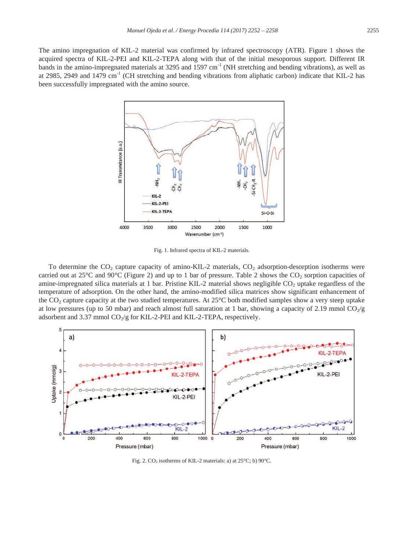The amino impregnation of KIL-2 material was confirmed by infrared spectroscopy (ATR). Figure 1 shows the acquired spectra of KIL-2-PEI and KIL-2-TEPA along with that of the initial mesoporous support. Different IR bands in the amino-impregnated materials at 3295 and 1597 cm<sup>-1</sup> (NH stretching and bending vibrations), as well as at 2985, 2949 and 1479 cm<sup>-1</sup> (CH stretching and bending vibrations from aliphatic carbon) indicate that KIL-2 has been successfully impregnated with the amino source.



Fig. 1. Infrared spectra of KIL-2 materials.

To determine the  $CO_2$  capture capacity of amino-KIL-2 materials,  $CO_2$  adsorption-desorption isotherms were carried out at 25°C and 90°C (Figure 2) and up to 1 bar of pressure. Table 2 shows the  $CO_2$  sorption capacities of amine-impregnated silica materials at 1 bar. Pristine KIL-2 material shows negligible CO<sub>2</sub> uptake regardless of the temperature of adsorption. On the other hand, the amino-modified silica matrices show significant enhancement of the CO2 capture capacity at the two studied temperatures. At 25°C both modified samples show a very steep uptake at low pressures (up to 50 mbar) and reach almost full saturation at 1 bar, showing a capacity of 2.19 mmol  $CO_{2}/g$ adsorbent and 3.37 mmol  $CO_2/g$  for KIL-2-PEI and KIL-2-TEPA, respectively.



Fig. 2.  $CO_2$  isotherms of KIL-2 materials: a) at  $25^{\circ}\text{C}$ ; b) 90 $^{\circ}\text{C}$ .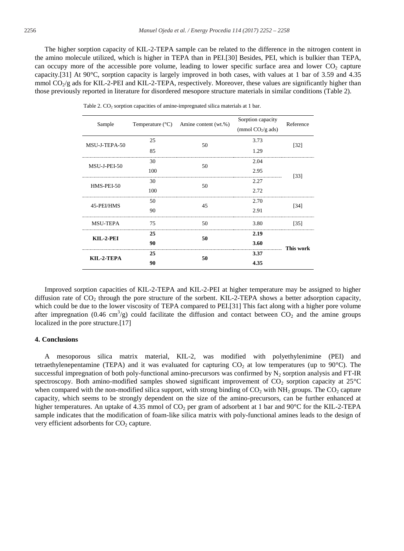The higher sorption capacity of KIL-2-TEPA sample can be related to the difference in the nitrogen content in the amino molecule utilized, which is higher in TEPA than in PEI.[30] Besides, PEI, which is bulkier than TEPA, can occupy more of the accessible pore volume, leading to lower specific surface area and lower CO<sub>2</sub> capture capacity.[31] At 90°C, sorption capacity is largely improved in both cases, with values at 1 bar of 3.59 and 4.35 mmol  $CO_2/g$  ads for KIL-2-PEI and KIL-2-TEPA, respectively. Moreover, these values are significantly higher than those previously reported in literature for disordered mesopore structure materials in similar conditions (Table 2).

| Sample          |     | Temperature $({}^{\circ}C)$ Amine content (wt.%) | Sorption capacity<br>(mmol $CO2/g$ ads) | Reference |
|-----------------|-----|--------------------------------------------------|-----------------------------------------|-----------|
| MSU-J-TEPA-50   | 25  | 50                                               | 3.73                                    | $[32]$    |
|                 | 85  |                                                  | 1.29                                    |           |
| MSU-J-PEI-50    | 30  | 50                                               | 2.04                                    | $[33]$    |
|                 | 100 |                                                  | 2.95                                    |           |
| HMS-PEI-50      | 30  | 50                                               | <br>2.27                                |           |
|                 | 100 |                                                  | 2.72                                    |           |
| 45-PEI/HMS      | 50  | 45                                               | 2.70                                    | [34]      |
|                 | 90  |                                                  | 2.91                                    |           |
| <b>MSU-TEPA</b> | 75  | 50                                               | 3.80                                    | [35]      |
| KIL-2-PEI       | 25  | 50                                               | 2.19                                    |           |
|                 | 90  |                                                  | 3.60                                    | This work |
| KIL-2-TEPA      | 25  | 50                                               | 3.37                                    |           |
|                 | 90  |                                                  | 4.35                                    |           |

Table 2.  $CO<sub>2</sub>$  sorption capacities of amine-impregnated silica materials at 1 bar.

Improved sorption capacities of KIL-2-TEPA and KIL-2-PEI at higher temperature may be assigned to higher diffusion rate of  $CO_2$  through the pore structure of the sorbent. KIL-2-TEPA shows a better adsorption capacity, which could be due to the lower viscosity of TEPA compared to PEI.[31] This fact along with a higher pore volume after impregnation (0.46 cm<sup>3</sup>/g) could facilitate the diffusion and contact between  $CO_2$  and the amine groups localized in the pore structure.[17]

#### **4. Conclusions**

A mesoporous silica matrix material, KIL-2, was modified with polyethylenimine (PEI) and tetraethylenepentamine (TEPA) and it was evaluated for capturing  $CO<sub>2</sub>$  at low temperatures (up to 90°C). The successful impregnation of both poly-functional amino-precursors was confirmed by  $N_2$  sorption analysis and FT-IR spectroscopy. Both amino-modified samples showed significant improvement of  $CO_2$  sorption capacity at  $25^{\circ}$ C when compared with the non-modified silica support, with strong binding of  $CO_2$  with NH<sub>2</sub> groups. The  $CO_2$  capture capacity, which seems to be strongly dependent on the size of the amino-precursors, can be further enhanced at higher temperatures. An uptake of 4.35 mmol of  $CO<sub>2</sub>$  per gram of adsorbent at 1 bar and 90 $^{\circ}$ C for the KIL-2-TEPA sample indicates that the modification of foam-like silica matrix with poly-functional amines leads to the design of very efficient adsorbents for  $CO<sub>2</sub>$  capture.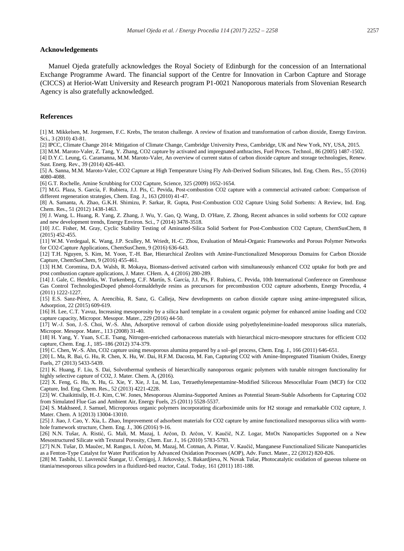#### **Acknowledgements**

Manuel Ojeda gratefully acknowledges the Royal Society of Edinburgh for the concession of an International Exchange Programme Award. The financial support of the Centre for Innovation in Carbon Capture and Storage (CICCS) at Heriot-Watt University and Research program P1-0021 Nanoporous materials from Slovenian Research Agency is also gratefully acknowledged.

#### **References**

[1] M. Mikkelsen, M. Jorgensen, F.C. Krebs, The teraton challenge. A review of fixation and transformation of carbon dioxide, Energy Environ. Sci., 3 (2010) 43-81.

[2] IPCC, Climate Change 2014: Mitigation of Climate Change, Cambridge University Press, Cambridge, UK and New York, NY, USA, 2015.

[3] M.M. Maroto-Valer, Z. Tang, Y. Zhang, CO2 capture by activated and impregnated anthracites, Fuel Proces. Technol., 86 (2005) 1487-1502. [4] D.Y.C. Leung, G. Caramanna, M.M. Maroto-Valer, An overview of current status of carbon dioxide capture and storage technologies, Renew. Sust. Energ. Rev., 39 (2014) 426-443.

[5] A. Sanna, M.M. Maroto-Valer, CO2 Capture at High Temperature Using Fly Ash-Derived Sodium Silicates, Ind. Eng. Chem. Res., 55 (2016) 4080-4088.

[6] G.T. Rochelle, Amine Scrubbing for CO2 Capture, Science, 325 (2009) 1652-1654.

[7] M.G. Plaza, S. García, F. Rubiera, J.J. Pis, C. Pevida, Post-combustion CO2 capture with a commercial activated carbon: Comparison of different regeneration strategies, Chem. Eng. J., 163 (2010) 41-47.

[8] A. Samanta, A. Zhao, G.K.H. Shimizu, P. Sarkar, R. Gupta, Post-Combustion CO2 Capture Using Solid Sorbents: A Review, Ind. Eng. Chem. Res., 51 (2012) 1438-1463.

[9] J. Wang, L. Huang, R. Yang, Z. Zhang, J. Wu, Y. Gao, Q. Wang, D. O'Hare, Z. Zhong, Recent advances in solid sorbents for CO2 capture and new development trends, Energy Environ. Sci., 7 (2014) 3478-3518.

[10] J.C. Fisher, M. Gray, Cyclic Stability Testing of Aminated-Silica Solid Sorbent for Post-Combustion CO2 Capture, ChemSusChem, 8 (2015) 452-455.

[11] W.M. Verdegaal, K. Wang, J.P. Sculley, M. Wriedt, H.-C. Zhou, Evaluation of Metal-Organic Frameworks and Porous Polymer Networks for CO2-Capture Applications, ChemSusChem, 9 (2016) 636-643.

[12] T.H. Nguyen, S. Kim, M. Yoon, T.-H. Bae, Hierarchical Zeolites with Amine-Functionalized Mesoporous Domains for Carbon Dioxide Capture, ChemSusChem, 9 (2016) 455-461.

[13] H.M. Coromina, D.A. Walsh, R. Mokaya, Biomass-derived activated carbon with simultaneously enhanced CO2 uptake for both pre and post combustion capture applications, J. Mater. CHem. A, 4 (2016) 280-289.

[14] J. Gale, C. Hendriks, W. Turkenberg, C.F. Martín, S. García, J.J. Pis, F. Rubiera, C. Pevida, 10th International Conference on Greenhouse Gas Control TechnologiesDoped phenol-formaldehyde resins as precursors for precombustion CO2 capture adsorbents, Energy Procedia, 4 (2011) 1222-1227.

[15] E.S. Sanz-Pérez, A. Arencibia, R. Sanz, G. Calleja, New developments on carbon dioxide capture using amine-impregnated silicas, Adsorption, 22 (2015) 609-619.

[16] H. Lee, C.T. Yavuz, Increasing mesoporosity by a silica hard template in a covalent organic polymer for enhanced amine loading and CO2 capture capacity, Micropor. Mesopor. Mater., 229 (2016) 44-50.

[17] W.-J. Son, J.-S. Choi, W.-S. Ahn, Adsorptive removal of carbon dioxide using polyethyleneimine-loaded mesoporous silica materials, Micropor. Mesopor. Mater., 113 (2008) 31-40.

[18] H. Yang, Y. Yuan, S.C.E. Tsang, Nitrogen-enriched carbonaceous materials with hierarchical micro-mesopore structures for efficient CO2 capture, Chem. Eng. J., 185–186 (2012) 374-379.

[19] C. Chen, W.-S. Ahn, CO2 capture using mesoporous alumina prepared by a sol–gel process, Chem. Eng. J., 166 (2011) 646-651.

[20] L. Ma, R. Bai, G. Hu, R. Chen, X. Hu, W. Dai, H.F.M. Dacosta, M. Fan, Capturing CO2 with Amine-Impregnated Titanium Oxides, Energy Fuels, 27 (2013) 5433-5439.

[21] K. Huang, F. Liu, S. Dai, Solvothermal synthesis of hierarchically nanoporous organic polymers with tunable nitrogen functionality for highly selective capture of CO2, J. Mater. Chem. A, (2016).

[22] X. Feng, G. Hu, X. Hu, G. Xie, Y. Xie, J. Lu, M. Luo, Tetraethylenepentamine-Modified Siliceous Mesocellular Foam (MCF) for CO2 Capture, Ind. Eng. Chem. Res., 52 (2013) 4221-4228.

[23] W. Chaikittisilp, H.-J. Kim, C.W. Jones, Mesoporous Alumina-Supported Amines as Potential Steam-Stable Adsorbents for Capturing CO2 from Simulated Flue Gas and Ambient Air, Energy Fuels, 25 (2011) 5528-5537.

[24] S. Makhseed, J. Samuel, Microporous organic polymers incorporating dicarboximide units for H2 storage and remarkable CO2 capture, J. Mater. Chem. A 1(2013) 13004-13010.

[25] J. Jiao, J. Cao, Y. Xia, L. Zhao, Improvement of adsorbent materials for CO2 capture by amine functionalized mesoporous silica with wormhole framework structure, Chem. Eng. J., 306 (2016) 9-16.

[26] N.N. Tušar, A. Ristić, G. Mali, M. Mazaj, I. Arčon, D. Arčon, V. Kaučič, N.Z. Logar, MnOx Nanoparticles Supported on a New Mesostructured Silicate with Textural Porosity, Chem. Eur. J., 16 (2010) 5783-5793.

[27] N.N. Tušar, D. Maučec, M. Rangus, I. Arčon, M. Mazaj, M. Cotman, A. Pintar, V. Kaučič, Manganese Functionalized Silicate Nanoparticles as a Fenton-Type Catalyst for Water Purification by Advanced Oxidation Processes (AOP), Adv. Funct. Mater., 22 (2012) 820-826.

[28] M. Tasbihi, U. Lavrenčič Štangar, U. Černigoj, J. Jirkovsky, S. Bakardjieva, N. Novak Tušar, Photocatalytic oxidation of gaseous toluene on titania/mesoporous silica powders in a fluidized-bed reactor, Catal. Today, 161 (2011) 181-188.